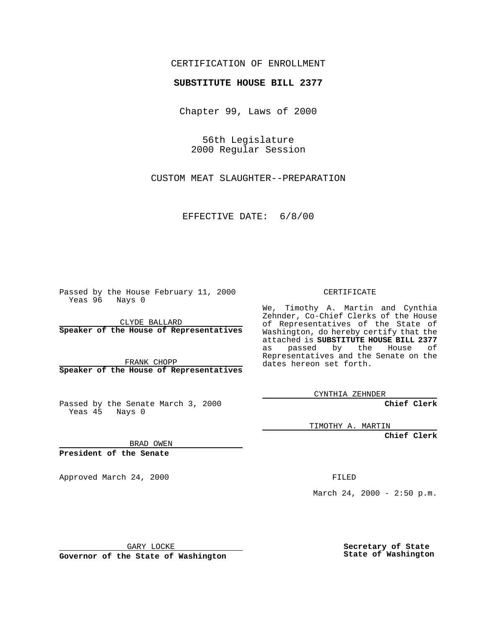## CERTIFICATION OF ENROLLMENT

## **SUBSTITUTE HOUSE BILL 2377**

Chapter 99, Laws of 2000

56th Legislature 2000 Regular Session

CUSTOM MEAT SLAUGHTER--PREPARATION

EFFECTIVE DATE: 6/8/00

Passed by the House February 11, 2000 Yeas 96 Nays 0

CLYDE BALLARD **Speaker of the House of Representatives**

FRANK CHOPP **Speaker of the House of Representatives**

Passed by the Senate March 3, 2000 Yeas 45 Nays 0

CERTIFICATE

We, Timothy A. Martin and Cynthia Zehnder, Co-Chief Clerks of the House of Representatives of the State of Washington, do hereby certify that the attached is **SUBSTITUTE HOUSE BILL 2377** as passed by the House of Representatives and the Senate on the dates hereon set forth.

CYNTHIA ZEHNDER

**Chief Clerk**

TIMOTHY A. MARTIN

**Chief Clerk**

BRAD OWEN

**President of the Senate**

Approved March 24, 2000 FILED

March 24, 2000 - 2:50 p.m.

GARY LOCKE

**Governor of the State of Washington**

**Secretary of State State of Washington**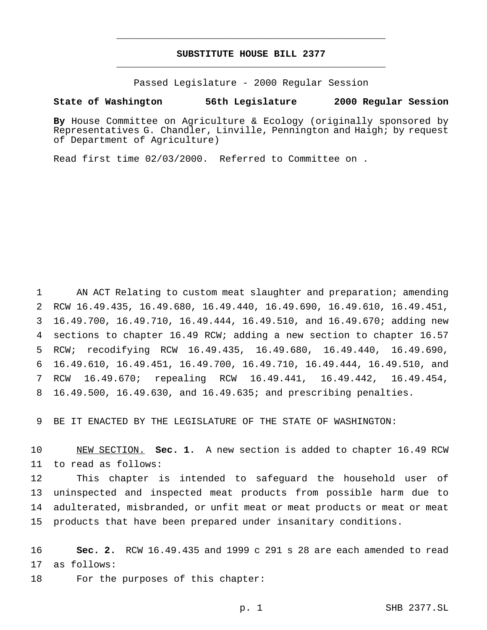## **SUBSTITUTE HOUSE BILL 2377** \_\_\_\_\_\_\_\_\_\_\_\_\_\_\_\_\_\_\_\_\_\_\_\_\_\_\_\_\_\_\_\_\_\_\_\_\_\_\_\_\_\_\_\_\_\_\_

\_\_\_\_\_\_\_\_\_\_\_\_\_\_\_\_\_\_\_\_\_\_\_\_\_\_\_\_\_\_\_\_\_\_\_\_\_\_\_\_\_\_\_\_\_\_\_

Passed Legislature - 2000 Regular Session

## **State of Washington 56th Legislature 2000 Regular Session**

**By** House Committee on Agriculture & Ecology (originally sponsored by Representatives G. Chandler, Linville, Pennington and Haigh; by request of Department of Agriculture)

Read first time 02/03/2000. Referred to Committee on .

 AN ACT Relating to custom meat slaughter and preparation; amending RCW 16.49.435, 16.49.680, 16.49.440, 16.49.690, 16.49.610, 16.49.451, 16.49.700, 16.49.710, 16.49.444, 16.49.510, and 16.49.670; adding new sections to chapter 16.49 RCW; adding a new section to chapter 16.57 RCW; recodifying RCW 16.49.435, 16.49.680, 16.49.440, 16.49.690, 16.49.610, 16.49.451, 16.49.700, 16.49.710, 16.49.444, 16.49.510, and RCW 16.49.670; repealing RCW 16.49.441, 16.49.442, 16.49.454, 16.49.500, 16.49.630, and 16.49.635; and prescribing penalties.

BE IT ENACTED BY THE LEGISLATURE OF THE STATE OF WASHINGTON:

 NEW SECTION. **Sec. 1.** A new section is added to chapter 16.49 RCW to read as follows:

 This chapter is intended to safeguard the household user of uninspected and inspected meat products from possible harm due to adulterated, misbranded, or unfit meat or meat products or meat or meat products that have been prepared under insanitary conditions.

 **Sec. 2.** RCW 16.49.435 and 1999 c 291 s 28 are each amended to read as follows:

18 For the purposes of this chapter:

p. 1 SHB 2377.SL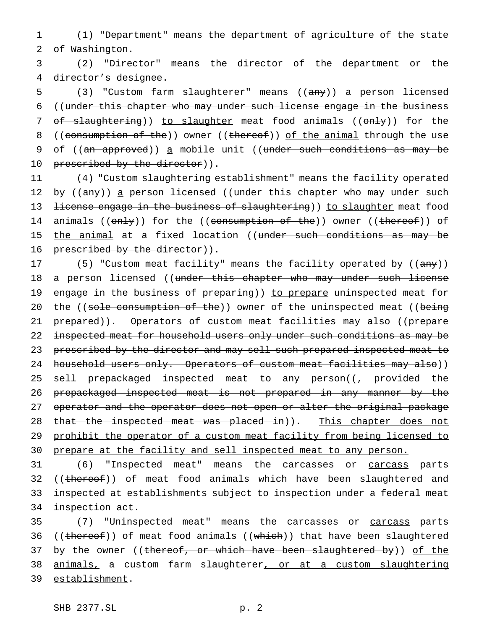1 (1) "Department" means the department of agriculture of the state 2 of Washington.

3 (2) "Director" means the director of the department or the 4 director's designee.

5 (3) "Custom farm slaughterer" means ((any)) a person licensed 6 ((under this chapter who may under such license engage in the business 7 of slaughtering)) to slaughter meat food animals ((only)) for the 8 ((consumption of the)) owner ((thereof)) of the animal through the use 9 of ((an approved)) a mobile unit ((under such conditions as may be 10 prescribed by the director)).

11 (4) "Custom slaughtering establishment" means the facility operated 12 by ((any)) a person licensed ((under this chapter who may under such 13 <del>license engage in the business of slaughtering</del>)) to slaughter meat food 14 animals ((only)) for the ((consumption of the)) owner ((thereof)) of 15 the animal at a fixed location ((under such conditions as may be 16 prescribed by the director)).

17 (5) "Custom meat facility" means the facility operated by ((any)) 18 <u>a</u> person licensed ((<del>under this chapter who may under such license</del> 19 engage in the business of preparing)) to prepare uninspected meat for 20 the ((sole consumption of the)) owner of the uninspected meat ((being 21 prepared)). Operators of custom meat facilities may also ((prepare 22 inspected meat for household users only under such conditions as may be 23 prescribed by the director and may sell such prepared inspected meat to 24 household users only. Operators of custom meat facilities may also)) 25 sell prepackaged inspected meat to any person((<del>, provided the</del> 26 prepackaged inspected meat is not prepared in any manner by the 27 operator and the operator does not open or alter the original package 28 that the inspected meat was placed in)). This chapter does not 29 prohibit the operator of a custom meat facility from being licensed to 30 prepare at the facility and sell inspected meat to any person.

 (6) "Inspected meat" means the carcasses or carcass parts 32 ((thereof)) of meat food animals which have been slaughtered and inspected at establishments subject to inspection under a federal meat inspection act.

35 (7) "Uninspected meat" means the carcasses or carcass parts 36 ((thereof)) of meat food animals ((which)) that have been slaughtered 37 by the owner ((thereof, or which have been slaughtered by)) of the 38 animals, a custom farm slaughterer, or at a custom slaughtering 39 establishment.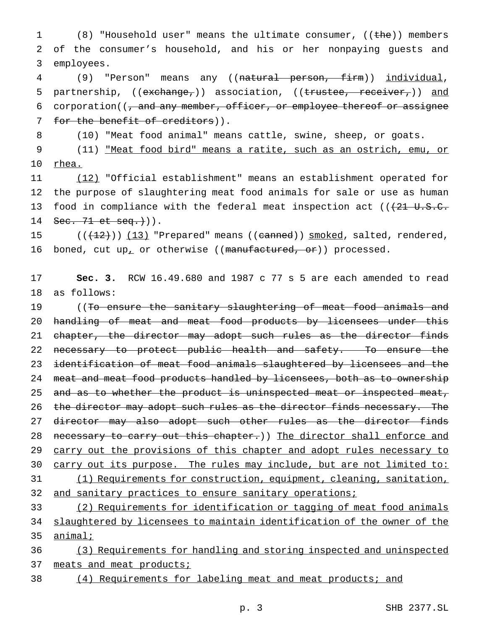1 (8) "Household user" means the ultimate consumer, ((the)) members 2 of the consumer's household, and his or her nonpaying guests and 3 employees.

4 (9) "Person" means any ((natural person, firm)) individual, 5 partnership, ((exchange,)) association, ((trustee, receiver,)) and 6 corporation((, and any member, officer, or employee thereof or assignee 7 for the benefit of creditors)).

8 (10) "Meat food animal" means cattle, swine, sheep, or goats.

9 (11) "Meat food bird" means a ratite, such as an ostrich, emu, or 10 rhea.

 (12) "Official establishment" means an establishment operated for the purpose of slaughtering meat food animals for sale or use as human 13 food in compliance with the federal meat inspection act  $((21 U.S.C.$  $\text{Sec. } 71 \text{ et } \text{seq. })$ 

15 (( $(12)$ )) (13) "Prepared" means ((canned)) smoked, salted, rendered, 16 boned, cut up<sub>i</sub> or otherwise ((manufactured, or)) processed.

17 **Sec. 3.** RCW 16.49.680 and 1987 c 77 s 5 are each amended to read 18 as follows:

19 ((To ensure the sanitary slaughtering of meat food animals and 20 handling of meat and meat food products by licensees under this 21 chapter, the director may adopt such rules as the director finds 22 necessary to protect public health and safety. To ensure the 23 identification of meat food animals slaughtered by licensees and the 24 meat and meat food products handled by licensees, both as to ownership 25 and as to whether the product is uninspected meat or inspected meat, 26 the director may adopt such rules as the director finds necessary. The 27 director may also adopt such other rules as the director finds 28 necessary to carry out this chapter.)) The director shall enforce and 29 carry out the provisions of this chapter and adopt rules necessary to 30 carry out its purpose. The rules may include, but are not limited to: 31 (1) Requirements for construction, equipment, cleaning, sanitation, 32 and sanitary practices to ensure sanitary operations;

33 (2) Requirements for identification or tagging of meat food animals 34 slaughtered by licensees to maintain identification of the owner of the 35 animal;

36 (3) Requirements for handling and storing inspected and uninspected 37 meats and meat products;

38 (4) Requirements for labeling meat and meat products; and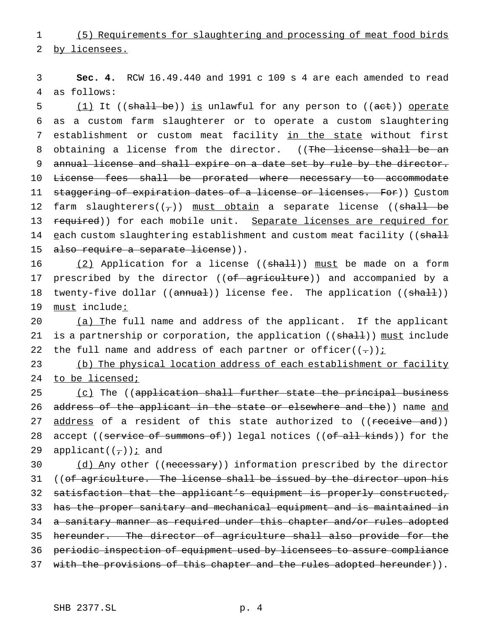1 (5) Requirements for slaughtering and processing of meat food birds 2 by licensees.

3 **Sec. 4.** RCW 16.49.440 and 1991 c 109 s 4 are each amended to read 4 as follows:

5 (1) It ((shall be)) is unlawful for any person to ((act)) operate 6 as a custom farm slaughterer or to operate a custom slaughtering 7 establishment or custom meat facility in the state without first 8 obtaining a license from the director. ((The license shall be an 9 annual license and shall expire on a date set by rule by the director. 10 License fees shall be prorated where necessary to accommodate 11 staggering of expiration dates of a license or licenses. For)) Custom 12 farm slaughterers( $(\tau)$ ) must obtain a separate license ((shall be 13 required)) for each mobile unit. Separate licenses are required for 14 each custom slaughtering establishment and custom meat facility ((shall 15 also require a separate license)).

16 (2) Application for a license ((shall)) must be made on a form 17 prescribed by the director ((of agriculture)) and accompanied by a 18 twenty-five dollar ((annual)) license fee. The application ((shall)) 19 must include:

20 (a) The full name and address of the applicant. If the applicant 21 is a partnership or corporation, the application ((shall)) must include 22 the full name and address of each partner or officer( $(-)$ )  $\frac{1}{2}$ 

23 (b) The physical location address of each establishment or facility 24 to be licensed;

25 (c) The ((application shall further state the principal business 26 address of the applicant in the state or elsewhere and the)) name and 27 address of a resident of this state authorized to ((receive and)) 28 accept ((service of summons of)) legal notices ((of all kinds)) for the 29 applicant( $(\tau)$ ) *i* and

30 (d) Any other ((necessary)) information prescribed by the director 31 ((of agriculture. The license shall be issued by the director upon his 32 satisfaction that the applicant's equipment is properly constructed, 33 has the proper sanitary and mechanical equipment and is maintained in 34 a sanitary manner as required under this chapter and/or rules adopted 35 hereunder. The director of agriculture shall also provide for the 36 periodic inspection of equipment used by licensees to assure compliance 37 with the provisions of this chapter and the rules adopted hereunder)).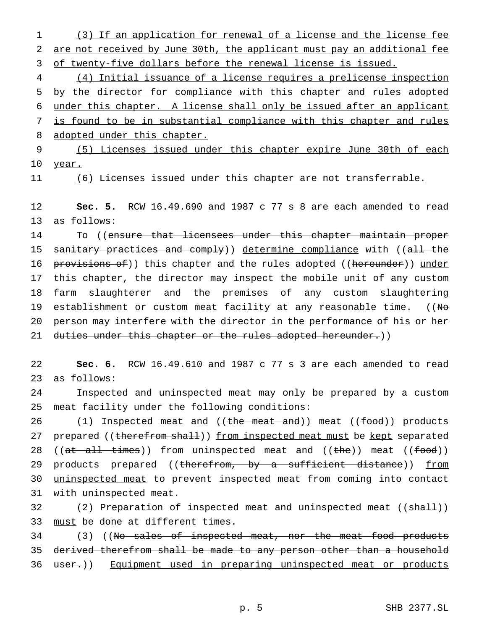1 (3) If an application for renewal of a license and the license fee 2 are not received by June 30th, the applicant must pay an additional fee 3 of twenty-five dollars before the renewal license is issued.

 (4) Initial issuance of a license requires a prelicense inspection by the director for compliance with this chapter and rules adopted under this chapter. A license shall only be issued after an applicant is found to be in substantial compliance with this chapter and rules 8 adopted under this chapter.

9 (5) Licenses issued under this chapter expire June 30th of each 10 year.

11 (6) Licenses issued under this chapter are not transferrable.

12 **Sec. 5.** RCW 16.49.690 and 1987 c 77 s 8 are each amended to read 13 as follows:

14 To ((ensure that licensees under this chapter maintain proper 15 sanitary practices and comply)) determine compliance with ((all the 16 provisions of)) this chapter and the rules adopted ((hereunder)) under 17 this chapter, the director may inspect the mobile unit of any custom 18 farm slaughterer and the premises of any custom slaughtering 19 establishment or custom meat facility at any reasonable time.  $((N\Theta)$ 20 person may interfere with the director in the performance of his or her 21 duties under this chapter or the rules adopted hereunder.))

22 **Sec. 6.** RCW 16.49.610 and 1987 c 77 s 3 are each amended to read 23 as follows:

24 Inspected and uninspected meat may only be prepared by a custom 25 meat facility under the following conditions:

26 (1) Inspected meat and ((the meat and)) meat ((food)) products 27 prepared ((therefrom shall)) from inspected meat must be kept separated 28 ((at all times)) from uninspected meat and ((the)) meat ((food)) 29 products prepared ((therefrom, by a sufficient distance)) from 30 uninspected meat to prevent inspected meat from coming into contact 31 with uninspected meat.

32 (2) Preparation of inspected meat and uninspected meat ((shall)) 33 must be done at different times.

34 (3) ((No sales of inspected meat, nor the meat food products 35 derived therefrom shall be made to any person other than a household 36 user.)) Equipment used in preparing uninspected meat or products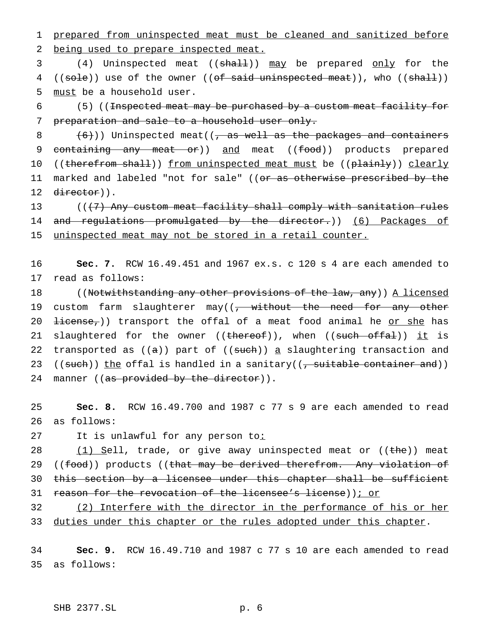1 prepared from uninspected meat must be cleaned and sanitized before 2 being used to prepare inspected meat.

3 (4) Uninspected meat ((shall)) may be prepared only for the 4 ((sole)) use of the owner ((of said uninspected meat)), who ((shall)) 5 must be a household user.

6 (5) ((<del>Inspected meat may be purchased by a custom meat facility for</del> 7 preparation and sale to a household user only.

8  $(6)$ )) Uninspected meat((, as well as the packages and containers 9 containing any meat or)) and meat ((food)) products prepared 10 ((therefrom shall)) from uninspected meat must be ((plainly)) clearly 11 marked and labeled "not for sale" ((<del>or as otherwise prescribed by the</del> 12 director)).

13  $($   $($   $($   $7)$  Any custom meat facility shall comply with sanitation rules 14 and regulations promulgated by the director.)) (6) Packages of 15 uninspected meat may not be stored in a retail counter.

16 **Sec. 7.** RCW 16.49.451 and 1967 ex.s. c 120 s 4 are each amended to 17 read as follows:

18 ((Notwithstanding any other provisions of the law, any)) A licensed 19 custom farm slaughterer may((, without the need for any other 20  $\frac{1}{1}$   $\frac{1}{1}$   $\frac{1}{1}$   $\frac{1}{1}$   $\frac{1}{1}$   $\frac{1}{1}$   $\frac{1}{1}$   $\frac{1}{1}$   $\frac{1}{1}$   $\frac{1}{1}$   $\frac{1}{1}$   $\frac{1}{1}$   $\frac{1}{1}$   $\frac{1}{1}$   $\frac{1}{1}$   $\frac{1}{1}$   $\frac{1}{1}$   $\frac{1}{1}$   $\frac{1}{1}$   $\frac{1}{1}$   $\frac{1}{1}$   $\frac{1}{1}$ 21 slaughtered for the owner ((thereof)), when ((such offal)) it is 22 transported as  $((a))$  part of  $((such))$  a slaughtering transaction and 23 ((such)) the offal is handled in a sanitary(( $\frac{1}{2}$  suitable container and)) 24 manner ((as provided by the director)).

25 **Sec. 8.** RCW 16.49.700 and 1987 c 77 s 9 are each amended to read 26 as follows:

27 It is unlawful for any person to:

28 (1) Sell, trade, or give away uninspected meat or ((the)) meat 29 ((food)) products ((that may be derived therefrom. Any violation of 30 this section by a licensee under this chapter shall be sufficient 31 reason for the revocation of the licensee's license)); or

32 (2) Interfere with the director in the performance of his or her 33 duties under this chapter or the rules adopted under this chapter.

34 **Sec. 9.** RCW 16.49.710 and 1987 c 77 s 10 are each amended to read 35 as follows: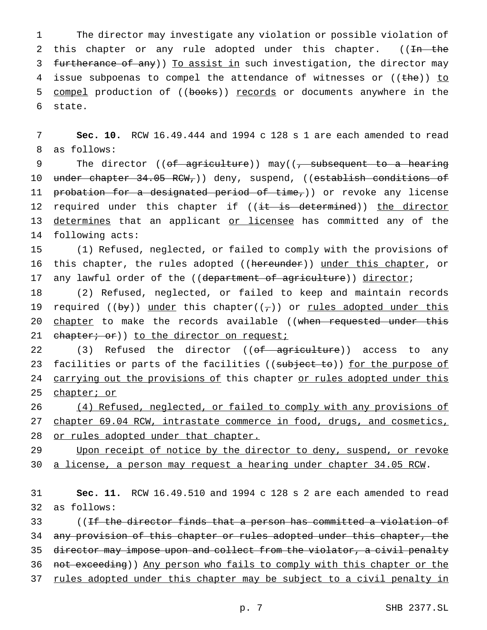1 The director may investigate any violation or possible violation of 2 this chapter or any rule adopted under this chapter. ((In the 3 furtherance of any)) To assist in such investigation, the director may 4 issue subpoenas to compel the attendance of witnesses or ((the)) to 5 compel production of ((books)) records or documents anywhere in the 6 state.

7 **Sec. 10.** RCW 16.49.444 and 1994 c 128 s 1 are each amended to read 8 as follows:

9 The director ((<del>of agriculture</del>)) may(( $\tau$  subsequent to a hearing 10 under chapter 34.05 RCW,)) deny, suspend, ((establish conditions of 11 probation for a designated period of time,)) or revoke any license 12 required under this chapter if ((it is determined)) the director 13 determines that an applicant or licensee has committed any of the 14 following acts:

15 (1) Refused, neglected, or failed to comply with the provisions of 16 this chapter, the rules adopted ((hereunder)) under this chapter, or 17 any lawful order of the ((department of agriculture)) director;

18 (2) Refused, neglected, or failed to keep and maintain records 19 required ((by)) under this chapter( $(\tau)$ ) or rules adopted under this 20 chapter to make the records available ((when requested under this 21 chapter; or)) to the director on request;

22 (3) Refused the director ((of agriculture)) access to any 23 facilities or parts of the facilities ((subject to)) for the purpose of 24 carrying out the provisions of this chapter or rules adopted under this 25 chapter; or

26 (4) Refused, neglected, or failed to comply with any provisions of 27 chapter 69.04 RCW, intrastate commerce in food, drugs, and cosmetics, 28 or rules adopted under that chapter.

29 Upon receipt of notice by the director to deny, suspend, or revoke 30 a license, a person may request a hearing under chapter 34.05 RCW.

31 **Sec. 11.** RCW 16.49.510 and 1994 c 128 s 2 are each amended to read 32 as follows:

33 ((If the director finds that a person has committed a violation of 34 any provision of this chapter or rules adopted under this chapter, the 35 director may impose upon and collect from the violator, a civil penalty 36 not exceeding)) Any person who fails to comply with this chapter or the 37 rules adopted under this chapter may be subject to a civil penalty in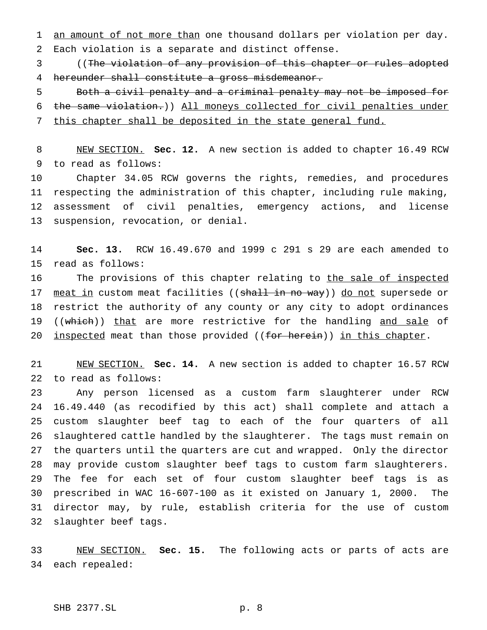1 an amount of not more than one thousand dollars per violation per day. Each violation is a separate and distinct offense.

 ((The violation of any provision of this chapter or rules adopted hereunder shall constitute a gross misdemeanor.

 Both a civil penalty and a criminal penalty may not be imposed for the same violation.)) All moneys collected for civil penalties under this chapter shall be deposited in the state general fund.

 NEW SECTION. **Sec. 12.** A new section is added to chapter 16.49 RCW to read as follows:

 Chapter 34.05 RCW governs the rights, remedies, and procedures respecting the administration of this chapter, including rule making, assessment of civil penalties, emergency actions, and license suspension, revocation, or denial.

 **Sec. 13.** RCW 16.49.670 and 1999 c 291 s 29 are each amended to read as follows:

16 The provisions of this chapter relating to the sale of inspected 17 meat in custom meat facilities ((shall in no way)) do not supersede or restrict the authority of any county or any city to adopt ordinances 19 ((which)) that are more restrictive for the handling and sale of 20 <u>inspected</u> meat than those provided ((for herein)) in this chapter.

 NEW SECTION. **Sec. 14.** A new section is added to chapter 16.57 RCW to read as follows:

 Any person licensed as a custom farm slaughterer under RCW 16.49.440 (as recodified by this act) shall complete and attach a custom slaughter beef tag to each of the four quarters of all slaughtered cattle handled by the slaughterer. The tags must remain on the quarters until the quarters are cut and wrapped. Only the director may provide custom slaughter beef tags to custom farm slaughterers. The fee for each set of four custom slaughter beef tags is as prescribed in WAC 16-607-100 as it existed on January 1, 2000. The director may, by rule, establish criteria for the use of custom slaughter beef tags.

 NEW SECTION. **Sec. 15.** The following acts or parts of acts are each repealed: